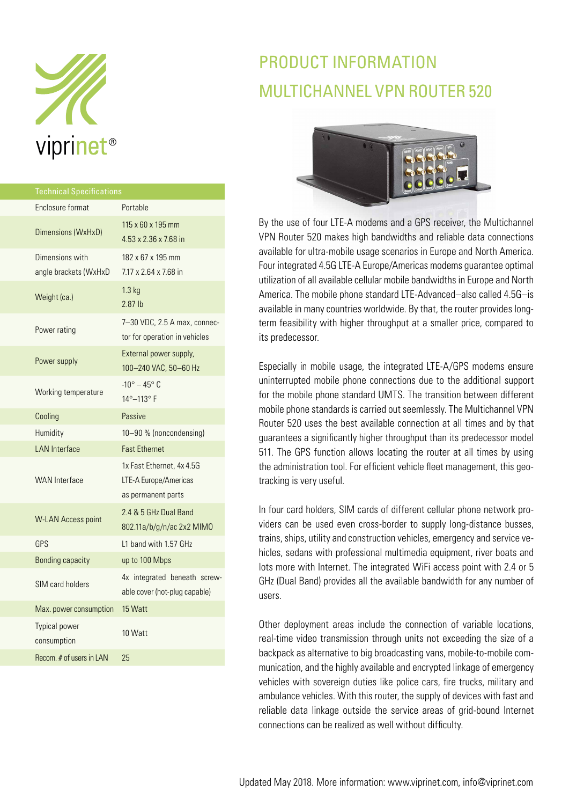

| <b>Technical Specifications</b>          |                                                                          |
|------------------------------------------|--------------------------------------------------------------------------|
| Enclosure format                         | Portable                                                                 |
| Dimensions (WxHxD)                       | 115 x 60 x 195 mm<br>$4.53 \times 2.36 \times 7.68$ in                   |
| Dimensions with<br>angle brackets (WxHxD | 182 x 67 x 195 mm<br>7.17 x 2.64 x 7.68 in                               |
| Weight (ca.)                             | $1.3$ kg<br>$2.87$ lb                                                    |
| Power rating                             | 7-30 VDC, 2.5 A max, connec-<br>tor for operation in vehicles            |
| Power supply                             | External power supply,<br>100-240 VAC, 50-60 Hz                          |
| Working temperature                      | $-10^{\circ} - 45^{\circ}$ C<br>14°-113°F                                |
| Cooling                                  | Passive                                                                  |
| Humidity                                 | 10-90 % (noncondensing)                                                  |
| <b>LAN</b> Interface                     | <b>Fast Ethernet</b>                                                     |
| <b>WAN</b> Interface                     | 1x Fast Ethernet, 4x 4.5G<br>LTE-A Europe/Americas<br>as permanent parts |
| <b>W-LAN Access point</b>                | 2.4 & 5 GHz Dual Band<br>802.11a/b/g/n/ac 2x2 MIMO                       |
| GPS                                      | L1 band with 1.57 GHz                                                    |
| <b>Bonding capacity</b>                  | up to 100 Mbps                                                           |
| SIM card holders                         | 4x integrated beneath screw-<br>able cover (hot-plug capable)            |
| Max. power consumption                   | 15 Watt                                                                  |
| <b>Typical power</b><br>consumption      | 10 Watt                                                                  |
| Recom. # of users in LAN                 | 25                                                                       |

# PRODUCT INFORMATION MULTICHANNEL VPN ROUTER 520



By the use of four LTE-A modems and a GPS receiver, the Multichannel VPN Router 520 makes high bandwidths and reliable data connections available for ultra-mobile usage scenarios in Europe and North America. Four integrated 4.5G LTE-A Europe/Americas modems guarantee optimal utilization of all available cellular mobile bandwidths in Europe and North America. The mobile phone standard LTE-Advanced–also called 4.5G–is available in many countries worldwide. By that, the router provides longterm feasibility with higher throughput at a smaller price, compared to its predecessor.

Especially in mobile usage, the integrated LTE-A/GPS modems ensure uninterrupted mobile phone connections due to the additional support for the mobile phone standard UMTS. The transition between different mobile phone standards is carried out seemlessly. The Multichannel VPN Router 520 uses the best available connection at all times and by that guarantees a significantly higher throughput than its predecessor model 511. The GPS function allows locating the router at all times by using the administration tool. For efficient vehicle fleet management, this geotracking is very useful.

In four card holders, SIM cards of different cellular phone network providers can be used even cross-border to supply long-distance busses, trains, ships, utility and construction vehicles, emergency and service vehicles, sedans with professional multimedia equipment, river boats and lots more with Internet. The integrated WiFi access point with 2.4 or 5 GHz (Dual Band) provides all the available bandwidth for any number of users.

Other deployment areas include the connection of variable locations, real-time video transmission through units not exceeding the size of a backpack as alternative to big broadcasting vans, mobile-to-mobile communication, and the highly available and encrypted linkage of emergency vehicles with sovereign duties like police cars, fire trucks, military and ambulance vehicles. With this router, the supply of devices with fast and reliable data linkage outside the service areas of grid-bound Internet connections can be realized as well without difficulty.